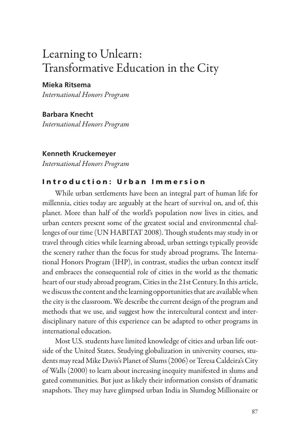# Learning to Unlearn: Transformative Education in the City

## **Mieka Ritsema**

*International Honors Program*

**Barbara Knecht** *International Honors Program*

#### **Kenneth Kruckemeyer**

*International Honors Program*

# Introduction: Urban Immersion

While urban settlements have been an integral part of human life for millennia, cities today are arguably at the heart of survival on, and of, this planet. More than half of the world's population now lives in cities, and urban centers present some of the greatest social and environmental challenges of our time (UN HABITAT 2008). Though students may study in or travel through cities while learning abroad, urban settings typically provide the scenery rather than the focus for study abroad programs. The International Honors Program (IHP), in contrast, studies the urban context itself and embraces the consequential role of cities in the world as the thematic heart of our study abroad program, Cities in the 21st Century. In this article, we discuss the content and the learning opportunities that are available when the city is the classroom. We describe the current design of the program and methods that we use, and suggest how the intercultural context and interdisciplinary nature of this experience can be adapted to other programs in international education.

Most U.S. students have limited knowledge of cities and urban life outside of the United States. Studying globalization in university courses, students may read Mike Davis's Planet of Slums (2006) or Teresa Caldeira's City of Walls (2000) to learn about increasing inequity manifested in slums and gated communities. But just as likely their information consists of dramatic snapshots. They may have glimpsed urban India in Slumdog Millionaire or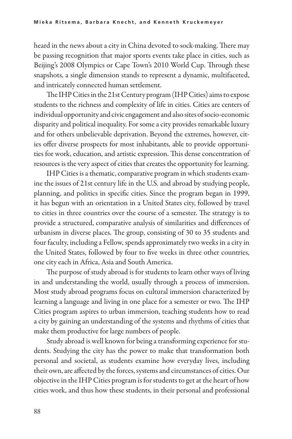heard in the news about a city in China devoted to sock-making. There may be passing recognition that major sports events take place in cities, such as Beijing's 2008 Olympics or Cape Town's 2010 World Cup. Through these snapshots, a single dimension stands to represent a dynamic, multifaceted, and intricately connected human settlement.

The IHP Cities in the 21st Century program (IHP Cities) aims to expose students to the richness and complexity of life in cities. Cities are centers of individual opportunity and civic engagement and also sites of socio-economic disparity and political inequality. For some a city provides remarkable luxury and for others unbelievable deprivation. Beyond the extremes, however, cit ies offer diverse prospects for most inhabitants, able to provide opportunities for work, education, and artistic expression. This dense concentration of resources is the very aspect of cities that creates the opportunity for learning.

IHP Cities is a thematic, comparative program in which students exam ine the issues of 21st century life in the U.S. and abroad by studying people, planning, and politics in specific cities. Since the program began in 1999, it has begun with an orientation in a United States city, followed by travel to cities in three countries over the course of a semester. The strategy is to provide a structured, comparative analysis of similarities and differences of urbanism in diverse places. The group, consisting of 30 to 35 students and four faculty, including a Fellow, spends approximately two weeks in a city in the United States, followed by four to five weeks in three other countries, one city each in Africa, Asia and South America.

The purpose of study abroad is for students to learn other ways of living in and understanding the world, usually through a process of immersion. Most study abroad programs focus on cultural immersion characterized by learning a language and living in one place for a semester or two. The IHP Cities program aspires to urban immersion, teaching students how to read a city by gaining an understanding of the systems and rhythms of cities that make them productive for large numbers of people.

Study abroad is well known for being a transforming experience for students. Studying the city has the power to make that transformation both personal and societal, as students examine how everyday lives, including their own, are affected by the forces, systems and circumstances of cities. Our objective in the IHP Cities program is for students to get at the heart of how cities work, and thus how these students, in their personal and professional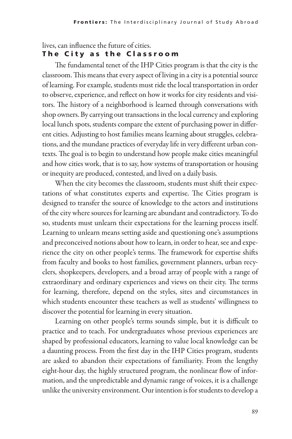#### lives, can influence the future of cities. The City as the Classroom

The fundamental tenet of the IHP Cities program is that the city is the classroom. This means that every aspect of living in a city is a potential source of learning. For example, students must ride the local transportation in order to observe, experience, and reflect on how it works for city residents and visitors. The history of a neighborhood is learned through conversations with shop owners. By carrying out transactions in the local currency and exploring local lunch spots, students compare the extent of purchasing power in different cities. Adjusting to host families means learning about struggles, celebrations, and the mundane practices of everyday life in very different urban contexts. The goal is to begin to understand how people make cities meaningful and how cities work, that is to say, how systems of transportation or housing or inequity are produced, contested, and lived on a daily basis.

When the city becomes the classroom, students must shift their expectations of what constitutes experts and expertise. The Cities program is designed to transfer the source of knowledge to the actors and institutions of the city where sources for learning are abundant and contradictory. To do so, students must unlearn their expectations for the learning process itself. Learning to unlearn means setting aside and questioning one's assumptions and preconceived notions about how to learn, in order to hear, see and experience the city on other people's terms. The framework for expertise shifts from faculty and books to host families, government planners, urban recyclers, shopkeepers, developers, and a broad array of people with a range of extraordinary and ordinary experiences and views on their city. The terms for learning, therefore, depend on the styles, sites and circumstances in which students encounter these teachers as well as students' willingness to discover the potential for learning in every situation.

Learning on other people's terms sounds simple, but it is difficult to practice and to teach. For undergraduates whose previous experiences are shaped by professional educators, learning to value local knowledge can be a daunting process. From the first day in the IHP Cities program, students are asked to abandon their expectations of familiarity. From the lengthy eight-hour day, the highly structured program, the nonlinear flow of information, and the unpredictable and dynamic range of voices, it is a challenge unlike the university environment. Our intention is for students to develop a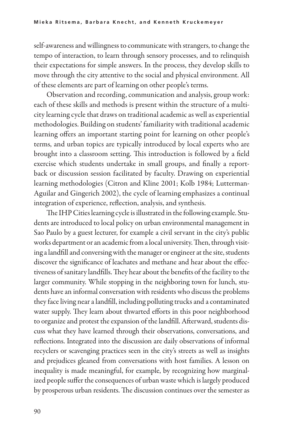self-awareness and willingness to communicate with strangers, to change the tempo of interaction, to learn through sensory processes, and to relinquish their expectations for simple answers. In the process, they develop skills to move through the city attentive to the social and physical environment. All of these elements are part of learning on other people's terms.

Observation and recording, communication and analysis, group work: each of these skills and methods is present within the structure of a multicity learning cycle that draws on traditional academic as well as experiential methodologies. Building on students' familiarity with traditional academic learning offers an important starting point for learning on other people's terms, and urban topics are typically introduced by local experts who are brought into a classroom setting. This introduction is followed by a field exercise which students undertake in small groups, and finally a reportback or discussion session facilitated by faculty. Drawing on experiential learning methodologies (Citron and Kline 2001; Kolb 1984; Lutterman-Aguilar and Gingerich 2002), the cycle of learning emphasizes a continual integration of experience, reflection, analysis, and synthesis.

The IHP Cities learning cycle is illustrated in the following example. Students are introduced to local policy on urban environmental management in Sao Paulo by a guest lecturer, for example a civil servant in the city's public works department or an academic from a local university. Then, through visit ing a landfill and conversing with the manager or engineer at the site, students discover the significance of leachates and methane and hear about the effectiveness of sanitary landfills. They hear about the benefits of the facility to the larger community. While stopping in the neighboring town for lunch, students have an informal conversation with residents who discuss the problems they face living near a landfill, including polluting trucks and a contaminated water supply. They learn about thwarted efforts in this poor neighborhood to organize and protest the expansion of the landfill. Afterward, students discuss what they have learned through their observations, conversations, and reflections. Integrated into the discussion are daily observations of informal recyclers or scavenging practices seen in the city's streets as well as insights and prejudices gleaned from conversations with host families. A lesson on inequality is made meaningful, for example, by recognizing how marginal ized people suffer the consequences of urban waste which is largely produced by prosperous urban residents. The discussion continues over the semester as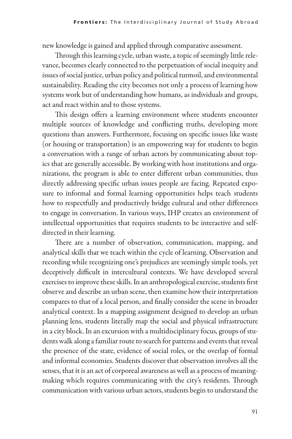new knowledge is gained and applied through comparative assessment.

Through this learning cycle, urban waste, a topic of seemingly little relevance, becomes clearly connected to the perpetuation of social inequity and issues of social justice, urban policy and political turmoil, and environmental sustainability. Reading the city becomes not only a process of learning how systems work but of understanding how humans, as individuals and groups, act and react within and to those systems.

This design offers a learning environment where students encounter multiple sources of knowledge and conflicting truths, developing more questions than answers. Furthermore, focusing on specific issues like waste (or housing or transportation) is an empowering way for students to begin a conversation with a range of urban actors by communicating about top ics that are generally accessible. By working with host institutions and organizations, the program is able to enter different urban communities, thus directly addressing specific urban issues people are facing. Repeated exposure to informal and formal learning opportunities helps teach students how to respectfully and productively bridge cultural and other differences to engage in conversation. In various ways, IHP creates an environment of intellectual opportunities that requires students to be interactive and selfdirected in their learning.

There are a number of observation, communication, mapping, and analytical skills that we teach within the cycle of learning. Observation and recording while recognizing one's prejudices are seemingly simple tools, yet deceptively difficult in intercultural contexts. We have developed several exercises to improve these skills. In an anthropological exercise, students first observe and describe an urban scene, then examine how their interpretation compares to that of a local person, and finally consider the scene in broader analytical context. In a mapping assignment designed to develop an urban planning lens, students literally map the social and physical infrastructure in a city block. In an excursion with a multidisciplinary focus, groups of students walk along a familiar route to search for patterns and events that reveal the presence of the state, evidence of social roles, or the overlap of formal and informal economies. Students discover that observation involves all the senses, that it is an act of corporeal awareness as well as a process of meaningmaking which requires communicating with the city's residents. Through communication with various urban actors, students begin to understand the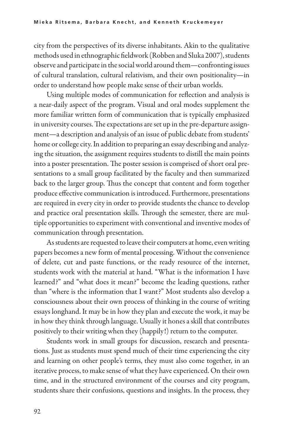city from the perspectives of its diverse inhabitants. Akin to the qualitative methods used in ethnographic fieldwork (Robben and Sluka 2007), students observe and participate in the social world around them—confronting issues of cultural translation, cultural relativism, and their own positionality—in order to understand how people make sense of their urban worlds.

Using multiple modes of communication for reflection and analysis is a near-daily aspect of the program. Visual and oral modes supplement the more familiar written form of communication that is typically emphasized in university courses. The expectations are set up in the pre-departure assignment—a description and analysis of an issue of public debate from students' home or college city. In addition to preparing an essay describing and analyz ing the situation, the assignment requires students to distill the main points into a poster presentation. The poster session is comprised of short oral presentations to a small group facilitated by the faculty and then summarized back to the larger group. Thus the concept that content and form together produce effective communication is introduced. Furthermore, presentations are required in every city in order to provide students the chance to develop and practice oral presentation skills. Through the semester, there are multiple opportunities to experiment with conventional and inventive modes of communication through presentation.

As students are requested to leave their computers at home, even writing papers becomes a new form of mental processing. Without the convenience of delete, cut and paste functions, or the ready resource of the internet, students work with the material at hand. "What is the information I have learned?" and "what does it mean?" become the leading questions, rather than "where is the information that I want?" Most students also develop a consciousness about their own process of thinking in the course of writing essays longhand. It may be in how they plan and execute the work, it may be in how they think through language. Usually it hones a skill that contributes positively to their writing when they (happily!) return to the computer.

Students work in small groups for discussion, research and presentations. Just as students must spend much of their time experiencing the city and learning on other people's terms, they must also come together, in an iterative process, to make sense of what they have experienced. On their own time, and in the structured environment of the courses and city program, students share their confusions, questions and insights. In the process, they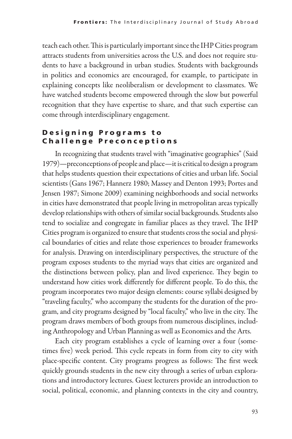teach each other. This is particularly important since the IHP Cities program attracts students from universities across the U.S. and does not require students to have a background in urban studies. Students with backgrounds in politics and economics are encouraged, for example, to participate in explaining concepts like neoliberalism or development to classmates. We have watched students become empowered through the slow but powerful recognition that they have expertise to share, and that such expertise can come through interdisciplinary engagement.

# Designing Programs to Challenge Preconceptions

In recognizing that students travel with "imaginative geographies" (Said 1979)—preconceptions of people and place—it is critical to design a program that helps students question their expectations of cities and urban life. Social scientists (Gans 1967; Hannerz 1980; Massey and Denton 1993; Portes and Jensen 1987; Simone 2009) examining neighborhoods and social networks in cities have demonstrated that people living in metropolitan areas typically develop relationships with others of similar social backgrounds. Students also tend to socialize and congregate in familiar places as they travel. The IHP Cities program is organized to ensure that students cross the social and physical boundaries of cities and relate those experiences to broader frameworks for analysis. Drawing on interdisciplinary perspectives, the structure of the program exposes students to the myriad ways that cities are organized and the distinctions between policy, plan and lived experience. They begin to understand how cities work differently for different people. To do this, the program incorporates two major design elements: course syllabi designed by "traveling faculty," who accompany the students for the duration of the program, and city programs designed by "local faculty," who live in the city. The program draws members of both groups from numerous disciplines, includ ing Anthropology and Urban Planning as well as Economics and the Arts.

Each city program establishes a cycle of learning over a four (sometimes five) week period. This cycle repeats in form from city to city with place-specific content. City programs progress as follows: The first week quickly grounds students in the new city through a series of urban explorations and introductory lectures. Guest lecturers provide an introduction to social, political, economic, and planning contexts in the city and country,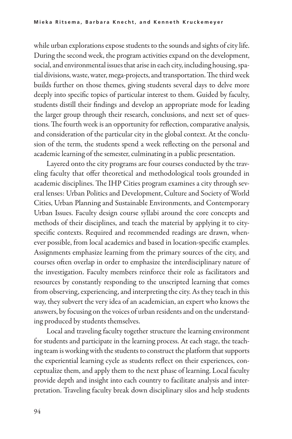while urban explorations expose students to the sounds and sights of city life. During the second week, the program activities expand on the development, social, and environmental issues that arise in each city, including housing, spatial divisions, waste, water, mega-projects, and transportation. The third week builds further on those themes, giving students several days to delve more deeply into specific topics of particular interest to them. Guided by faculty, students distill their findings and develop an appropriate mode for leading the larger group through their research, conclusions, and next set of questions. The fourth week is an opportunity for reflection, comparative analysis, and consideration of the particular city in the global context. At the conclusion of the term, the students spend a week reflecting on the personal and academic learning of the semester, culminating in a public presentation.

Layered onto the city programs are four courses conducted by the traveling faculty that offer theoretical and methodological tools grounded in academic disciplines. The IHP Cities program examines a city through several lenses: Urban Politics and Development, Culture and Society of World Cities, Urban Planning and Sustainable Environments, and Contemporary Urban Issues. Faculty design course syllabi around the core concepts and methods of their disciplines, and teach the material by applying it to cityspecific contexts. Required and recommended readings are drawn, whenever possible, from local academics and based in location-specific examples. Assignments emphasize learning from the primary sources of the city, and courses often overlap in order to emphasize the interdisciplinary nature of the investigation. Faculty members reinforce their role as facilitators and resources by constantly responding to the unscripted learning that comes from observing, experiencing, and interpreting the city. As they teach in this way, they subvert the very idea of an academician, an expert who knows the answers, by focusing on the voices of urban residents and on the understand ing produced by students themselves.

Local and traveling faculty together structure the learning environment for students and participate in the learning process. At each stage, the teach ing team is working with the students to construct the platform that supports the experiential learning cycle as students reflect on their experiences, conceptualize them, and apply them to the next phase of learning. Local faculty provide depth and insight into each country to facilitate analysis and interpretation. Traveling faculty break down disciplinary silos and help students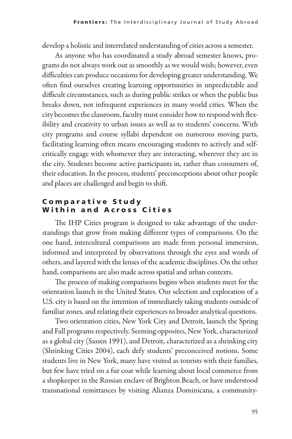develop a holistic and interrelated understanding of cities across a semester.

As anyone who has coordinated a study abroad semester knows, programs do not always work out as smoothly as we would wish; however, even difficulties can produce occasions for developing greater understanding. We often find ourselves creating learning opportunities in unpredictable and difficult circumstances, such as during public strikes or when the public bus breaks down, not infrequent experiences in many world cities. When the city becomes the classroom, faculty must consider how to respond with flex ibility and creativity to urban issues as well as to students' concerns. With city programs and course syllabi dependent on numerous moving parts, facilitating learning often means encouraging students to actively and selfcritically engage with whomever they are interacting, wherever they are in the city. Students become active participants in, rather than consumers of, their education. In the process, students' preconceptions about other people and places are challenged and begin to shift.

## Comparative Study Within and Across Cities

The IHP Cities program is designed to take advantage of the understandings that grow from making different types of comparisons. On the one hand, intercultural comparisons are made from personal immersion, informed and interpreted by observations through the eyes and words of others, and layered with the lenses of the academic disciplines. On the other hand, comparisons are also made across spatial and urban contexts.

The process of making comparisons begins when students meet for the orientation launch in the United States. Our selection and exploration of a U.S. city is based on the intention of immediately taking students outside of familiar zones, and relating their experiences to broader analytical questions.

Two orientation cities, New York City and Detroit, launch the Spring and Fall programs respectively. Seeming opposites, New York, characterized as a global city (Sassen 1991), and Detroit, characterized as a shrinking city (Shrinking Cities 2004), each defy students' preconceived notions. Some students live in New York, many have visited as tourists with their families, but few have tried on a fur coat while learning about local commerce from a shopkeeper in the Russian enclave of Brighton Beach, or have understood transnational remittances by visiting Alianza Dominicana, a community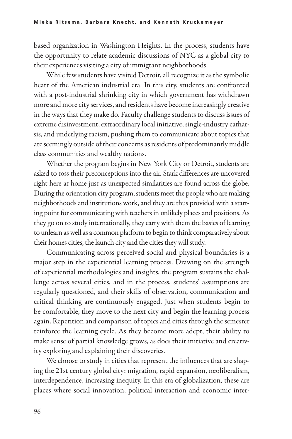based organization in Washington Heights. In the process, students have the opportunity to relate academic discussions of NYC as a global city to their experiences visiting a city of immigrant neighborhoods.

While few students have visited Detroit, all recognize it as the symbolic heart of the American industrial era. In this city, students are confronted with a post-industrial shrinking city in which government has withdrawn more and more city services, and residents have become increasingly creative in the ways that they make do. Faculty challenge students to discuss issues of extreme disinvestment, extraordinary local initiative, single-industry catharsis, and underlying racism, pushing them to communicate about topics that are seemingly outside of their concerns as residents of predominantly middle class communities and wealthy nations.

Whether the program begins in New York City or Detroit, students are asked to toss their preconceptions into the air. Stark differences are uncovered right here at home just as unexpected similarities are found across the globe. During the orientation city program, students meet the people who are making neighborhoods and institutions work, and they are thus provided with a start ing point for communicating with teachers in unlikely places and positions. As they go on to study internationally, they carry with them the basics of learning to unlearn as well as a common platform to begin to think comparatively about their homes cities, the launch city and the cities they will study.

Communicating across perceived social and physical boundaries is a major step in the experiential learning process. Drawing on the strength of experiential methodologies and insights, the program sustains the challenge across several cities, and in the process, students' assumptions are regularly questioned, and their skills of observation, communication and critical thinking are continuously engaged. Just when students begin to be comfortable, they move to the next city and begin the learning process again. Repetition and comparison of topics and cities through the semester reinforce the learning cycle. As they become more adept, their ability to make sense of partial knowledge grows, as does their initiative and creativ ity exploring and explaining their discoveries.

We choose to study in cities that represent the influences that are shap ing the 21st century global city: migration, rapid expansion, neoliberalism, interdependence, increasing inequity. In this era of globalization, these are places where social innovation, political interaction and economic inter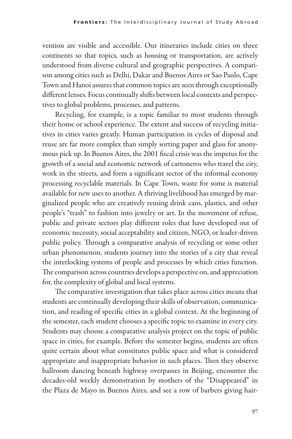vention are visible and accessible. Our itineraries include cities on three continents so that topics, such as housing or transportation, are actively understood from diverse cultural and geographic perspectives. A comparison among cities such as Delhi, Dakar and Buenos Aires or Sao Paulo, Cape Town and Hanoi assures that common topics are seen through exceptionally different lenses. Focus continually shifts between local contexts and perspectives to global problems, processes, and patterns.

Recycling, for example, is a topic familiar to most students through their home or school experience. The extent and success of recycling initiatives in cities varies greatly. Human participation in cycles of disposal and reuse are far more complex than simply sorting paper and glass for anonymous pick up. In Buenos Aires, the 2001 fiscal crisis was the impetus for the growth of a social and economic network of cartoneros who travel the city, work in the streets, and form a significant sector of the informal economy processing recyclable materials. In Cape Town, waste for some is material available for new uses to another. A thriving livelihood has emerged by marginalized people who are creatively reusing drink cans, plastics, and other people's "trash" to fashion into jewelry or art. In the movement of refuse, public and private sectors play different roles that have developed out of economic necessity, social acceptability and citizen, NGO, or leader-driven public policy. Through a comparative analysis of recycling or some other urban phenomenon, students journey into the stories of a city that reveal the interlocking systems of people and processes by which cities function. The comparison across countries develops a perspective on, and appreciation for, the complexity of global and local systems.

The comparative investigation that takes place across cities means that students are continually developing their skills of observation, communication, and reading of specific cities in a global context. At the beginning of the semester, each student chooses a specific topic to examine in every city. Students may choose a comparative analysis project on the topic of public space in cities, for example. Before the semester begins, students are often quite certain about what constitutes public space and what is considered appropriate and inappropriate behavior in such places. Then they observe ballroom dancing beneath highway overpasses in Beijing, encounter the decades-old weekly demonstration by mothers of the "Disappeared" in the Plaza de Mayo in Buenos Aires, and see a row of barbers giving hair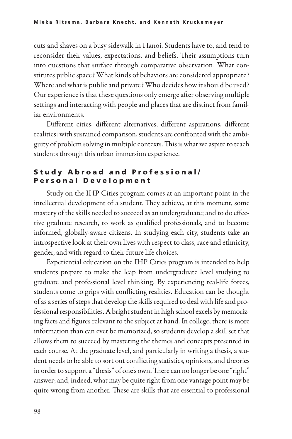cuts and shaves on a busy sidewalk in Hanoi. Students have to, and tend to reconsider their values, expectations, and beliefs. Their assumptions turn into questions that surface through comparative observation: What constitutes public space? What kinds of behaviors are considered appropriate? Where and what is public and private? Who decides how it should be used? Our experience is that these questions only emerge after observing multiple settings and interacting with people and places that are distinct from famil iar environments.

Different cities, different alternatives, different aspirations, different realities: with sustained comparison, students are confronted with the ambiguity of problem solving in multiple contexts. This is what we aspire to teach students through this urban immersion experience.

## Study Abroad and Professional/ Personal Development

Study on the IHP Cities program comes at an important point in the intellectual development of a student. They achieve, at this moment, some mastery of the skills needed to succeed as an undergraduate; and to do effective graduate research, to work as qualified professionals, and to become informed, globally-aware citizens. In studying each city, students take an introspective look at their own lives with respect to class, race and ethnicity, gender, and with regard to their future life choices.

Experiential education on the IHP Cities program is intended to help students prepare to make the leap from undergraduate level studying to graduate and professional level thinking. By experiencing real-life forces, students come to grips with conflicting realities. Education can be thought of as a series of steps that develop the skills required to deal with life and professional responsibilities. A bright student in high school excels by memoriz ing facts and figures relevant to the subject at hand. In college, there is more information than can ever be memorized, so students develop a skill set that allows them to succeed by mastering the themes and concepts presented in each course. At the graduate level, and particularly in writing a thesis, a student needs to be able to sort out conflicting statistics, opinions, and theories in order to support a "thesis" of one's own. There can no longer be one "right" answer; and, indeed, what may be quite right from one vantage point may be quite wrong from another. These are skills that are essential to professional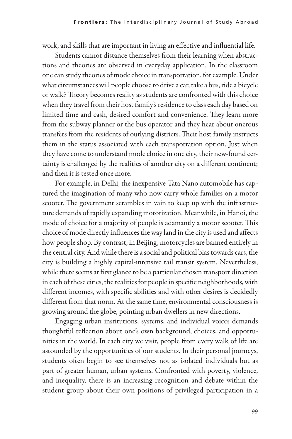work, and skills that are important in living an effective and influential life.

Students cannot distance themselves from their learning when abstractions and theories are observed in everyday application. In the classroom one can study theories of mode choice in transportation, for example. Under what circumstances will people choose to drive a car, take a bus, ride a bicycle or walk? Theory becomes reality as students are confronted with this choice when they travel from their host family's residence to class each day based on limited time and cash, desired comfort and convenience. They learn more from the subway planner or the bus operator and they hear about onerous transfers from the residents of outlying districts. Their host family instructs them in the status associated with each transportation option. Just when they have come to understand mode choice in one city, their new-found certainty is challenged by the realities of another city on a different continent; and then it is tested once more.

For example, in Delhi, the inexpensive Tata Nano automobile has captured the imagination of many who now carry whole families on a motor scooter. The government scrambles in vain to keep up with the infrastructure demands of rapidly expanding motorization. Meanwhile, in Hanoi, the mode of choice for a majority of people is adamantly a motor scooter. This choice of mode directly influences the way land in the city is used and affects how people shop. By contrast, in Beijing, motorcycles are banned entirely in the central city. And while there is a social and political bias towards cars, the city is building a highly capital-intensive rail transit system. Nevertheless, while there seems at first glance to be a particular chosen transport direction in each of these cities, the realities for people in specific neighborhoods, with different incomes, with specific abilities and with other desires is decidedly different from that norm. At the same time, environmental consciousness is growing around the globe, pointing urban dwellers in new directions.

Engaging urban institutions, systems, and individual voices demands thoughtful reflection about one's own background, choices, and opportunities in the world. In each city we visit, people from every walk of life are astounded by the opportunities of our students. In their personal journeys, students often begin to see themselves not as isolated individuals but as part of greater human, urban systems. Confronted with poverty, violence, and inequality, there is an increasing recognition and debate within the student group about their own positions of privileged participation in a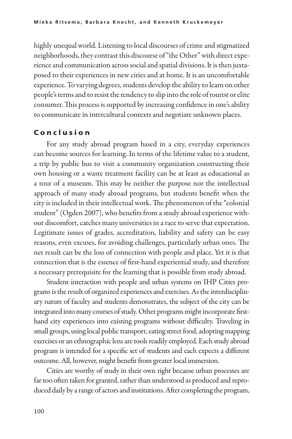highly unequal world. Listening to local discourses of crime and stigmatized neighborhoods, they contrast this discourse of "the Other" with direct experience and communication across social and spatial divisions. It is then juxtaposed to their experiences in new cities and at home. It is an uncomfortable experience. To varying degrees, students develop the ability to learn on other people's terms and to resist the tendency to slip into the role of tourist or elite consumer. This process is supported by increasing confidence in one's ability to communicate in intercultural contexts and negotiate unknown places.

### C o n c l u s i o n

For any study abroad program based in a city, everyday experiences can become sources for learning. In terms of the lifetime value to a student, a trip by public bus to visit a community organization constructing their own housing or a waste treatment facility can be at least as educational as a tour of a museum. This may be neither the purpose nor the intellectual approach of many study abroad programs, but students benefit when the city is included in their intellectual work. The phenomenon of the "colonial student" (Ogden 2007), who benefits from a study abroad experience without discomfort, catches many universities in a race to serve that expectation. Legitimate issues of grades, accreditation, liability and safety can be easy reasons, even excuses, for avoiding challenges, particularly urban ones. The net result can be the loss of connection with people and place. Yet it is that connection that is the essence of first-hand experiential study, and therefore a necessary prerequisite for the learning that is possible from study abroad.

Student interaction with people and urban systems on IHP Cities programs is the result of organized experiences and exercises. As the interdisciplinary nature of faculty and students demonstrates, the subject of the city can be integrated into many courses of study. Other programs might incorporate firsthand city experiences into existing programs without difficulty. Traveling in small groups, using local public transport, eating street food, adopting mapping exercises or an ethnographic lens are tools readily employed. Each study abroad program is intended for a specific set of students and each expects a different outcome. All, however, might benefit from greater local immersion.

Cities are worthy of study in their own right because urban processes are far too often taken for granted, rather than understood as produced and reproduced daily by a range of actors and institutions. After completing the program,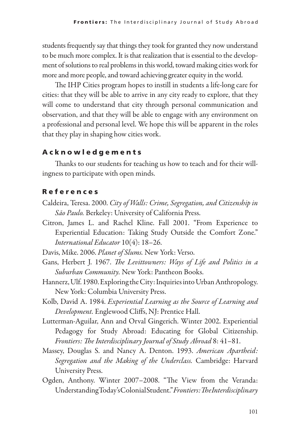students frequently say that things they took for granted they now understand to be much more complex. It is that realization that is essential to the development of solutions to real problems in this world, toward making cities work for more and more people, and toward achieving greater equity in the world.

The IHP Cities program hopes to instill in students a life-long care for cities: that they will be able to arrive in any city ready to explore, that they will come to understand that city through personal communication and observation, and that they will be able to engage with any environment on a professional and personal level. We hope this will be apparent in the roles that they play in shaping how cities work.

### A c k n o w l e d g e m e n t s

Thanks to our students for teaching us how to teach and for their will ingness to participate with open minds.

#### R e f e r e n c e s

- Caldeira, Teresa. 2000. *City of Walls: Crime, Segregation, and Citizenship in São Paulo.* Berkeley: University of California Press.
- Citron, James L. and Rachel Kline. Fall 2001. "From Experience to Experiential Education: Taking Study Outside the Comfort Zone." *International Educator* 10(4): 18–26.

Davis, Mike. 2006. *Planet of Slums.* New York: Verso.

- Gans, Herbert J. 1967. *The Levittowners: Ways of Life and Politics in a Suburban Community.* New York: Pantheon Books.
- Hannerz, Ulf. 1980. Exploring the City: Inquiries into Urban Anthropology. New York: Columbia University Press.
- Kolb, David A. 1984. *Experiential Learning as the Source of Learning and Development.* Englewood Cliffs, NJ: Prentice Hall.
- Lutterman-Aguilar, Ann and Orval Gingerich. Winter 2002. Experiential Pedagogy for Study Abroad: Educating for Global Citizenship. *Frontiers: The Interdisciplinary Journal of Study Abroad* 8: 41–81.
- Massey, Douglas S. and Nancy A. Denton. 1993. *American Apartheid: Segregation and the Making of the Underclass.* Cambridge: Harvard University Press.
- Ogden, Anthony. Winter 2007–2008. "The View from the Veranda: Understanding Today's Colonial Student." *Frontiers: The Interdisciplinary*